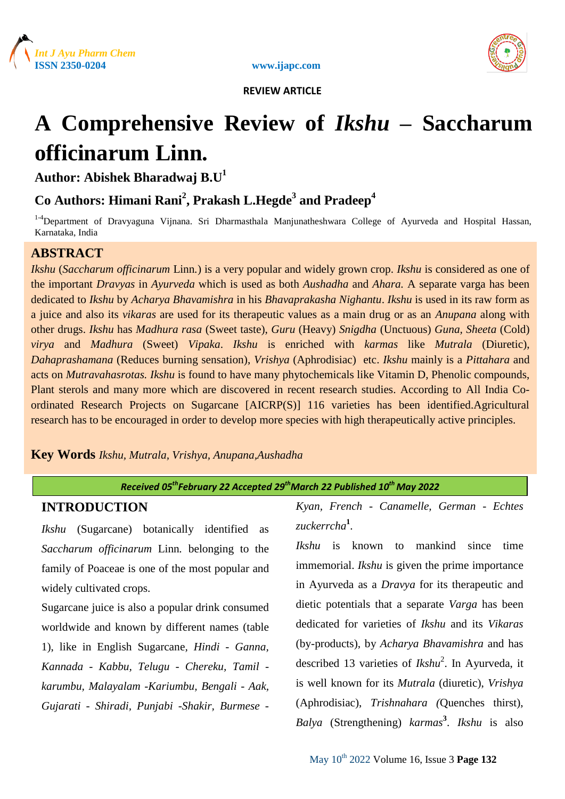





# **A Comprehensive Review of** *Ikshu* **– Saccharum officinarum Linn.**

**Author: Abishek Bharadwaj B.U<sup>1</sup>**

# **Co Authors: Himani Rani<sup>2</sup> , Prakash L.Hegde<sup>3</sup> and Pradeep<sup>4</sup>**

<sup>1-4</sup>Department of Dravyaguna Vijnana. Sri Dharmasthala Manjunatheshwara College of Ayurveda and Hospital Hassan, Karnataka, India

# **ABSTRACT**

*Ikshu* (*Saccharum officinarum* Linn*.*) is a very popular and widely grown crop. *Ikshu* is considered as one of the important *Dravyas* in *Ayurveda* which is used as both *Aushadha* and *Ahara.* A separate varga has been dedicated to *Ikshu* by *Acharya Bhavamishra* in his *Bhavaprakasha Nighantu*. *Ikshu* is used in its raw form as a juice and also its *vikaras* are used for its therapeutic values as a main drug or as an *Anupana* along with other drugs. *Ikshu* has *Madhura rasa* (Sweet taste), *Guru* (Heavy) *Snigdha* (Unctuous) *Guna, Sheeta* (Cold) *virya* and *Madhura* (Sweet) *Vipaka*. *Ikshu* is enriched with *karmas* like *Mutrala* (Diuretic), *Dahaprashamana* (Reduces burning sensation), *Vrishya* (Aphrodisiac) etc. *Ikshu* mainly is a *Pittahara* and acts on *Mutravahasrotas. Ikshu* is found to have many phytochemicals like Vitamin D, Phenolic compounds, Plant sterols and many more which are discovered in recent research studies. According to All India Coordinated Research Projects on Sugarcane [AICRP(S)] 116 varieties has been identified.Agricultural research has to be encouraged in order to develop more species with high therapeutically active principles.

### **Key Words** *Ikshu, Mutrala, Vrishya, Anupana,Aushadha*

### *Received 05thFebruary 22 Accepted 29thMarch 22 Published 10th May 2022*

# **INTRODUCTION**

*Ikshu* (Sugarcane) botanically identified as *Saccharum officinarum* Linn*.* belonging to the family of Poaceae is one of the most popular and widely cultivated crops.

Sugarcane juice is also a popular drink consumed worldwide and known by different names (table 1), like in English Sugarcane*, Hindi - Ganna, Kannada - Kabbu, Telugu - Chereku, Tamil karumbu, Malayalam -Kariumbu, Bengali - Aak, Gujarati - Shiradi, Punjabi -Shakir, Burmese -*

*Kyan, French - Canamelle, German - Echtes zuckerrcha***<sup>1</sup>** *.*

*Ikshu* is known to mankind since time immemorial. *Ikshu* is given the prime importance in Ayurveda as a *Dravya* for its therapeutic and dietic potentials that a separate *Varga* has been dedicated for varieties of *Ikshu* and its *Vikaras* (by-products)*,* by *Acharya Bhavamishra* and has described 13 varieties of *Ikshu*<sup>2</sup> . In Ayurveda, it is well known for its *Mutrala* (diuretic), *Vrishya* (Aphrodisiac), *Trishnahara (*Quenches thirst), *Balya* (Strengthening) *karmas***<sup>3</sup>** . *Ikshu* is also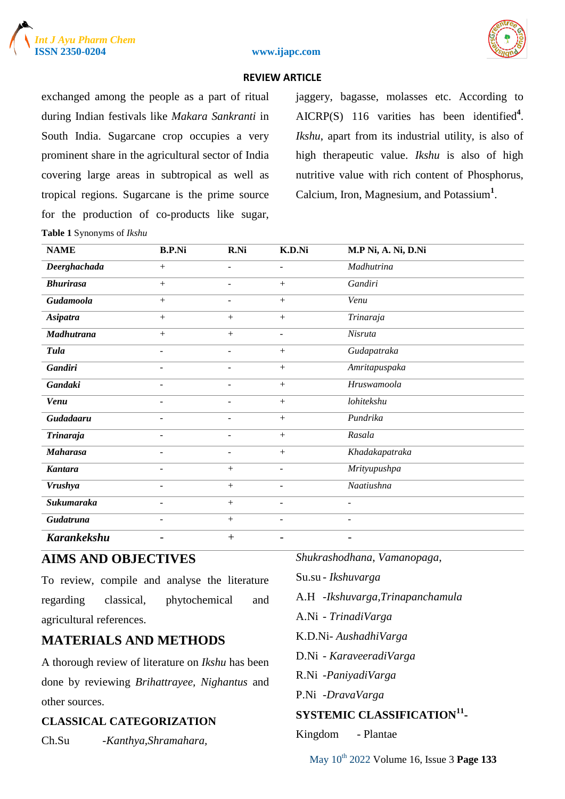





exchanged among the people as a part of ritual during Indian festivals like *Makara Sankranti* in South India. Sugarcane crop occupies a very prominent share in the agricultural sector of India covering large areas in subtropical as well as tropical regions. Sugarcane is the prime source for the production of co-products like sugar, **Table 1** Synonyms of *Ikshu*

jaggery, bagasse, molasses etc. According to AICRP(S) 116 varities has been identified**<sup>4</sup>** . *Ikshu*, apart from its industrial utility, is also of high therapeutic value. *Ikshu* is also of high nutritive value with rich content of Phosphorus, Calcium, Iron, Magnesium, and Potassium**<sup>1</sup>** .

| <b>NAME</b>        | <b>B.P.Ni</b>            | R.Ni                     | K.D.Ni                   | M.P Ni, A. Ni, D.Ni      |
|--------------------|--------------------------|--------------------------|--------------------------|--------------------------|
| Deerghachada       | $+$                      | $\overline{\phantom{0}}$ | $\blacksquare$           | Madhutrina               |
| <b>Bhurirasa</b>   | $+$                      |                          | $+$                      | Gandiri                  |
| Gudamoola          | $+$                      | $\blacksquare$           | $+$                      | Venu                     |
| <b>Asipatra</b>    | $+$                      | $+$                      | $+$                      | Trinaraja                |
| <b>Madhutrana</b>  | $+$                      | $+$                      | $\overline{\phantom{a}}$ | Nisruta                  |
| <b>Tula</b>        | $\overline{\phantom{a}}$ | ۰                        | $+$                      | Gudapatraka              |
| <b>Gandiri</b>     | $\overline{\phantom{a}}$ | $\overline{\phantom{0}}$ | $+$                      | Amritapuspaka            |
| Gandaki            | $\overline{\phantom{0}}$ | $\overline{\phantom{0}}$ | $+$                      | Hruswamoola              |
| <b>Venu</b>        | $\overline{\phantom{a}}$ | ٠                        | $+$                      | lohitekshu               |
| Gudadaaru          | $\overline{\phantom{a}}$ | $\overline{\phantom{a}}$ | $+$                      | Pundrika                 |
| <b>Trinaraja</b>   | $\overline{\phantom{a}}$ | $\overline{\phantom{0}}$ | $^{+}$                   | Rasala                   |
| <b>Maharasa</b>    | $\overline{\phantom{a}}$ | $\blacksquare$           | $+$                      | Khadakapatraka           |
| <b>Kantara</b>     | $\overline{\phantom{0}}$ | $+$                      | $\overline{\phantom{a}}$ | Mrityupushpa             |
| <b>Vrushya</b>     | $\overline{\phantom{0}}$ | $+$                      | $\blacksquare$           | Naatiushna               |
| Sukumaraka         |                          | $+$                      | $\overline{a}$           |                          |
| Gudatruna          |                          | $^{+}$                   |                          |                          |
| <b>Karankekshu</b> | -                        | $^{+}$                   | $\overline{\phantom{0}}$ | $\overline{\phantom{a}}$ |

# **AIMS AND OBJECTIVES**

To review, compile and analyse the literature regarding classical, phytochemical and agricultural references.

# **MATERIALS AND METHODS**

A thorough review of literature on *Ikshu* has been done by reviewing *Brihattrayee, Nighantus* and other sources.

### **CLASSICAL CATEGORIZATION**

Ch.Su *-Kanthya*,*Shramahara,*

*Shukrashodhana*, *Vamanopaga*,

Su.su *- Ikshuvarga*

A.H *-Ikshuvarga,Trinapanchamula*

A.Ni *- TrinadiVarga*

K.D.Ni*- AushadhiVarga*

D.Ni *- KaraveeradiVarga*

R.Ni -*PaniyadiVarga*

P.Ni -*DravaVarga*

# **SYSTEMIC CLASSIFICATION<sup>11</sup> -**

Kingdom - Plantae

May 10th 2022 Volume 16, Issue 3 **Page 133**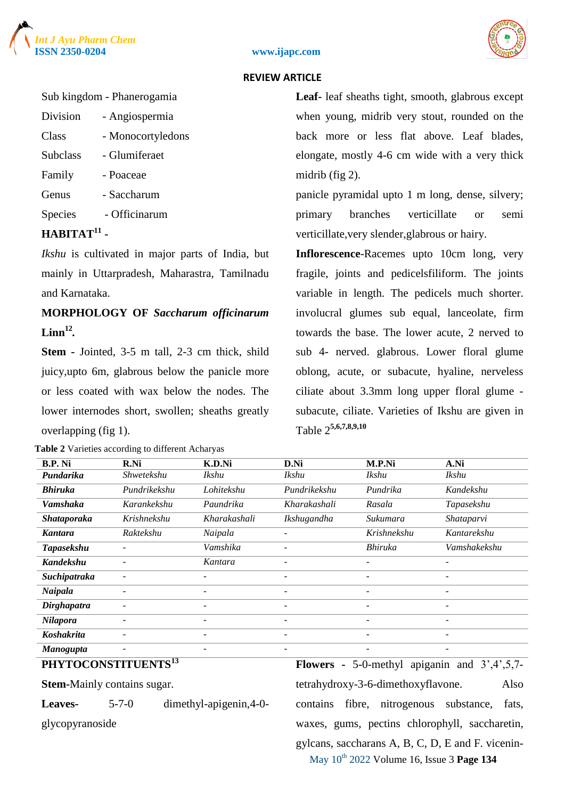



#### **ISSN 2350-0204 www.ijapc.com**

#### **REVIEW ARTICLE**

#### Sub kingdom - Phanerogamia

| Division        | - Angiospermia    |
|-----------------|-------------------|
| Class           | - Monocortyledons |
| <b>Subclass</b> | - Glumiferaet     |
| Family          | - Poaceae         |
| Genus           | - Saccharum       |
| <b>Species</b>  | - Officinarum     |

## **HABITAT<sup>11</sup> -**

*Ikshu* is cultivated in major parts of India, but mainly in Uttarpradesh, Maharastra, Tamilnadu and Karnataka.

# **MORPHOLOGY OF** *Saccharum officinarum* **Linn<sup>12</sup>** *.*

**Stem -** Jointed, 3-5 m tall, 2-3 cm thick, shild juicy,upto 6m, glabrous below the panicle more or less coated with wax below the nodes. The lower internodes short, swollen; sheaths greatly overlapping (fig 1).

**Table 2** Varieties according to different Acharyas

**Leaf-** leaf sheaths tight, smooth, glabrous except when young, midrib very stout, rounded on the back more or less flat above. Leaf blades, elongate, mostly 4-6 cm wide with a very thick midrib (fig 2).

panicle pyramidal upto 1 m long, dense, silvery; primary branches verticillate or semi verticillate,very slender,glabrous or hairy.

**Inflorescence**-Racemes upto 10cm long, very fragile, joints and pedicelsfiliform. The joints variable in length. The pedicels much shorter. involucral glumes sub equal, lanceolate, firm towards the base. The lower acute, 2 nerved to sub 4- nerved. glabrous. Lower floral glume oblong, acute, or subacute, hyaline, nerveless ciliate about 3.3mm long upper floral glume subacute, ciliate. Varieties of Ikshu are given in Table 2 **5,6,7,8,9,10**

| <b>B.P. Ni</b>     | R.Ni              | K.D.Ni                   | D.Ni         | M.P.Ni                   | A.Ni         |
|--------------------|-------------------|--------------------------|--------------|--------------------------|--------------|
| Pundarika          | <b>Shwetekshu</b> | <i>Ikshu</i>             | <i>Ikshu</i> | <i>Ikshu</i>             | <i>Ikshu</i> |
| <b>Bhiruka</b>     | Pundrikekshu      | Lohitekshu               | Pundrikekshu | Pundrika                 | Kandekshu    |
| <b>Vamshaka</b>    | Karankekshu       | Paundrika                | Kharakashali | Rasala                   | Tapasekshu   |
| <b>Shataporaka</b> | Krishnekshu       | Kharakashali             | Ikshugandha  | Sukumara                 | Shataparvi   |
| <b>Kantara</b>     | Raktekshu         | Naipala                  |              | Krishnekshu              | Kantarekshu  |
| <b>Tapasekshu</b>  |                   | Vamshika                 |              | <b>Bhiruka</b>           | Vamshakekshu |
| <b>Kandekshu</b>   |                   | Kantara                  | -            | ۰                        | ۰            |
| Suchipatraka       |                   |                          |              |                          | -            |
| Naipala            |                   |                          |              |                          | ۰            |
| <b>Dirghapatra</b> |                   | $\overline{\phantom{0}}$ |              | ۰                        | -            |
| Nilapora           |                   | $\overline{\phantom{0}}$ |              | $\overline{\phantom{0}}$ | -            |
| Koshakrita         |                   | $\overline{\phantom{0}}$ |              | $\overline{\phantom{0}}$ | ۰            |
| <b>Manogupta</b>   |                   |                          |              |                          | -            |

#### **PHYTOCONSTITUENTS<sup>13</sup>**

**Stem-**Mainly contains sugar.

**Leaves-** 5-7-0 dimethyl-apigenin,4-0 glycopyranoside

May 10th 2022 Volume 16, Issue 3 **Page 134 Flowers -** 5-0-methyl apiganin and 3',4',5,7 tetrahydroxy-3-6-dimethoxyflavone. Also contains fibre, nitrogenous substance, fats, waxes, gums, pectins chlorophyll, saccharetin, gylcans, saccharans A, B, C, D, E and F. vicenin-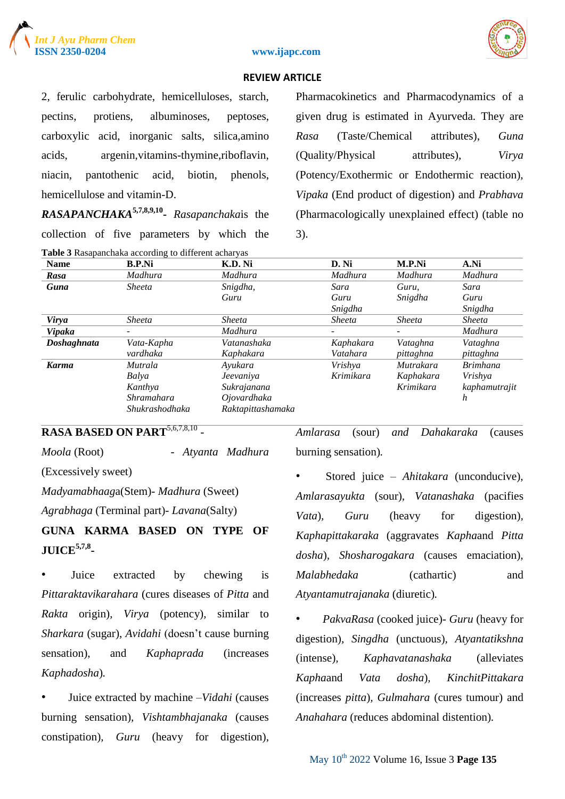





2, ferulic carbohydrate, hemicelluloses, starch, pectins, protiens, albuminoses, peptoses, carboxylic acid, inorganic salts, silica,amino acids, argenin,vitamins-thymine,riboflavin, niacin, pantothenic acid, biotin, phenols, hemicellulose and vitamin-D.

*RASAPANCHAKA***5,7,8,9,10 -** *Rasapanchaka*is the collection of five parameters by which the **Table 3** Rasapanchaka according to different acharyas

Pharmacokinetics and Pharmacodynamics of a given drug is estimated in Ayurveda. They are *Rasa* (Taste/Chemical attributes), *Guna* (Quality/Physical attributes), *Virya* (Potency/Exothermic or Endothermic reaction), *Vipaka* (End product of digestion) and *Prabhava* (Pharmacologically unexplained effect) (table no 3).

| <b>Name</b>   | <b>B.P.Ni</b>  | K.D. Ni           | D. Ni         | M.P.Ni        | A.Ni            |
|---------------|----------------|-------------------|---------------|---------------|-----------------|
| Rasa          | Madhura        | Madhura           | Madhura       | Madhura       | Madhura         |
| Guna          | <i>Sheeta</i>  | Snigdha,          | Sara          | Guru,         | Sara            |
|               |                | Guru              | Guru          | Snigdha       | Guru            |
|               |                |                   | Snigdha       |               | Snigdha         |
| Virya         | <i>Sheeta</i>  | <i>Sheeta</i>     | <i>Sheeta</i> | <i>Sheeta</i> | <i>Sheeta</i>   |
| <b>Vipaka</b> | -              | Madhura           | -             | -             | Madhura         |
| Doshaghnata   | Vata-Kapha     | Vatanashaka       | Kaphakara     | Vataghna      | Vataghna        |
|               | vardhaka       | Kaphakara         | Vatahara      | pittaghna     | pittaghna       |
| <b>Karma</b>  | Mutrala        | Ayukara           | Vrishya       | Mutrakara     | <i>Brimhana</i> |
|               | Balya          | Jeevaniya         | Krimikara     | Kaphakara     | Vrishya         |
|               | Kanthya        | Sukrajanana       |               | Krimikara     | kaphamutrajit   |
|               | Shramahara     | Ojovardhaka       |               |               | h               |
|               | Shukrashodhaka | Raktapittashamaka |               |               |                 |

## **RASA BASED ON PART**5,6,7,8,10 -

*Moola* (Root) - *Atyanta Madhura*

(Excessively sweet)

*Madyamabhaag*a(Stem)- *Madhura* (Sweet)

*Agrabhaga* (Terminal part)- *Lavana*(Salty)

# **GUNA KARMA BASED ON TYPE OF JUICE5,7,8 -**

Juice extracted by chewing is *Pittaraktavikarahara* (cures diseases of *Pitta* and *Rakta* origin), *Virya* (potency), similar to *Sharkara* (sugar), *Avidahi* (doesn't cause burning sensation), and *Kaphaprada* (increases *Kaphadosha*)*.*

• Juice extracted by machine –*Vidahi* (causes burning sensation)*, Vishtambhajanaka* (causes constipation)*, Guru* (heavy for digestion), *Amlarasa* (sour) *and Dahakaraka* (causes burning sensation)*.*

• Stored juice – *Ahitakara* (unconducive)*, Amlarasayukta* (sour)*, Vatanashaka* (pacifies *Vata*)*, Guru* (heavy for digestion)*, Kaphapittakaraka* (aggravates *Kapha*and *Pitta dosha*)*, Shosharogakara* (causes emaciation)*, Malabhedaka* (cathartic) and *Atyantamutrajanaka* (diuretic)*.*

• *PakvaRasa* (cooked juice)- *Guru* (heavy for digestion)*, Singdha* (unctuous)*, Atyantatikshna* (intense)*, Kaphavatanashaka* (alleviates *Kapha*and *Vata dosha*)*, KinchitPittakara* (increases *pitta*)*, Gulmahara* (cures tumour) and *Anahahara* (reduces abdominal distention)*.*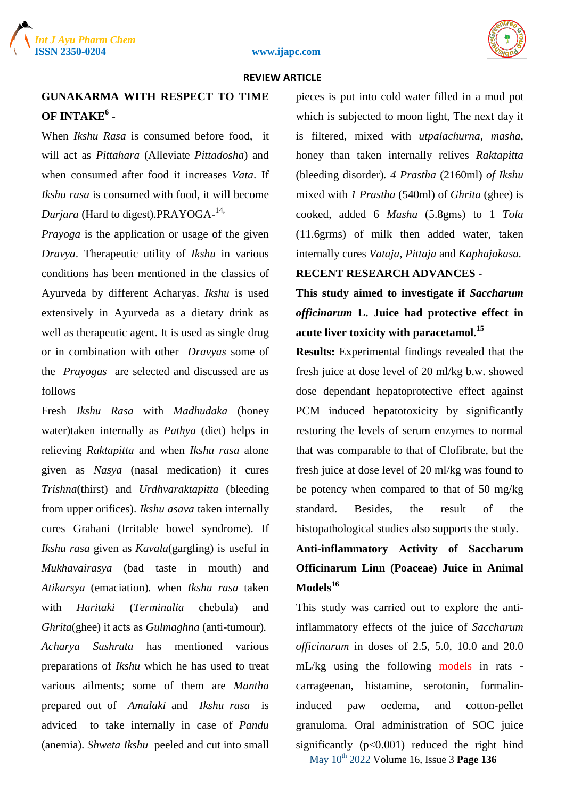



# **GUNAKARMA WITH RESPECT TO TIME OF INTAKE<sup>6</sup> -**

When *Ikshu Rasa* is consumed before food, it will act as *Pittahara* (Alleviate *Pittadosha*) and when consumed after food it increases *Vata*. If *Ikshu rasa* is consumed with food, it will become *Durjara* (Hard to digest).PRAYOGA-14,

*Prayoga* is the application or usage of the given *Dravya*. Therapeutic utility of *Ikshu* in various conditions has been mentioned in the classics of Ayurveda by different Acharyas. *Ikshu* is used extensively in Ayurveda as a dietary drink as well as therapeutic agent. It is used as single drug or in combination with other *Dravyas* some of the *Prayogas* are selected and discussed are as follows

Fresh *Ikshu Rasa* with *Madhudaka* (honey water)taken internally as *Pathya* (diet) helps in relieving *Raktapitta* and when *Ikshu rasa* alone given as *Nasya* (nasal medication) it cures *Trishna*(thirst) and *Urdhvaraktapitta* (bleeding from upper orifices). *Ikshu asava* taken internally cures Grahani (Irritable bowel syndrome). If *Ikshu rasa* given as *Kavala*(gargling) is useful in *Mukhavairasya* (bad taste in mouth) and *Atikarsya* (emaciation)*.* when *Ikshu rasa* taken with *Haritaki* (*Terminalia* chebula) and *Ghrita*(ghee) it acts as *Gulmaghna* (anti-tumour)*. Acharya Sushruta* has mentioned various preparations of *Ikshu* which he has used to treat various ailments; some of them are *Mantha* prepared out of *Amalaki* and *Ikshu rasa* is adviced to take internally in case of *Pandu* (anemia)*. Shweta Ikshu* peeled and cut into small pieces is put into cold water filled in a mud pot which is subjected to moon light, The next day it is filtered, mixed with *utpalachurna, masha*, honey than taken internally relives *Raktapitta* (bleeding disorder)*. 4 Prastha* (2160ml) *of Ikshu* mixed with *1 Prastha* (540ml) of *Ghrita* (ghee) is cooked, added 6 *Masha* (5.8gms) to 1 *Tola* (11.6grms) of milk then added water, taken internally cures *Vataja*, *Pittaja* and *Kaphajakasa.*

### **RECENT RESEARCH ADVANCES -**

**This study aimed to investigate if** *Saccharum officinarum* **L. Juice had protective effect in acute liver toxicity with paracetamol.<sup>15</sup>**

**Results:** Experimental findings revealed that the fresh juice at dose level of 20 ml/kg b.w. showed dose dependant hepatoprotective effect against PCM induced hepatotoxicity by significantly restoring the levels of serum enzymes to normal that was comparable to that of Clofibrate, but the fresh juice at dose level of 20 ml/kg was found to be potency when compared to that of 50 mg/kg standard. Besides, the result of the histopathological studies also supports the study.

# **Anti-inflammatory Activity of Saccharum Officinarum Linn (Poaceae) Juice in Animal Models<sup>16</sup>**

This study was carried out to explore the antiinflammatory effects of the juice of *Saccharum officinarum* in doses of 2.5, 5.0, 10.0 and 20.0 mL/kg using the following models in rats carrageenan, histamine, serotonin, formalininduced paw oedema, and cotton-pellet granuloma. Oral administration of SOC juice significantly  $(p<0.001)$  reduced the right hind

May 10th 2022 Volume 16, Issue 3 **Page 136**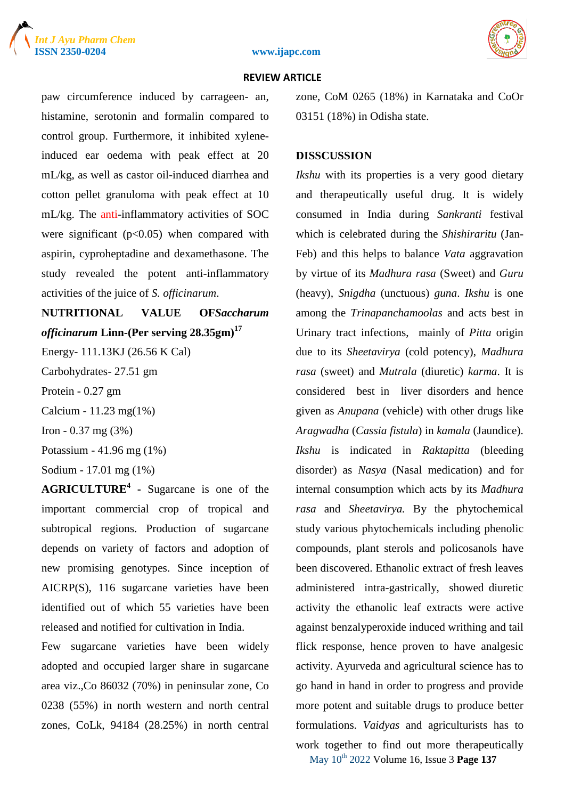





paw circumference induced by carrageen- an, histamine, serotonin and formalin compared to control group. Furthermore, it inhibited xyleneinduced ear oedema with peak effect at 20 mL/kg, as well as castor oil-induced diarrhea and cotton pellet granuloma with peak effect at 10 mL/kg. The anti-inflammatory activities of SOC were significant ( $p<0.05$ ) when compared with aspirin, cyproheptadine and dexamethasone. The study revealed the potent anti-inflammatory activities of the juice of *S. officinarum*.

**NUTRITIONAL VALUE OF***Saccharum officinarum* **Linn***-***(Per serving 28.35gm)<sup>17</sup>**

Energy- 111.13KJ (26.56 K Cal)

Carbohydrates- 27.51 gm

Protein - 0.27 gm

Calcium - 11.23 mg(1%)

Iron - 0.37 mg (3%)

Potassium - 41.96 mg (1%)

Sodium - 17.01 mg (1%)

**AGRICULTURE<sup>4</sup> -** Sugarcane is one of the important commercial crop of tropical and subtropical regions. Production of sugarcane depends on variety of factors and adoption of new promising genotypes. Since inception of AICRP(S), 116 sugarcane varieties have been identified out of which 55 varieties have been released and notified for cultivation in India.

Few sugarcane varieties have been widely adopted and occupied larger share in sugarcane area viz.,Co 86032 (70%) in peninsular zone, Co 0238 (55%) in north western and north central zones, CoLk, 94184 (28.25%) in north central zone, CoM 0265 (18%) in Karnataka and CoOr 03151 (18%) in Odisha state.

#### **DISSCUSSION**

*Ikshu* with its properties is a very good dietary and therapeutically useful drug. It is widely consumed in India during *Sankranti* festival which is celebrated during the *Shishiraritu* (Jan-Feb) and this helps to balance *Vata* aggravation by virtue of its *Madhura rasa* (Sweet) and *Guru* (heavy)*, Snigdha* (unctuous) *guna*. *Ikshu* is one among the *Trinapanchamoolas* and acts best in Urinary tract infections, mainly of *Pitta* origin due to its *Sheetavirya* (cold potency), *Madhura rasa* (sweet) and *Mutrala* (diuretic) *karma*. It is considered best in liver disorders and hence given as *Anupana* (vehicle) with other drugs like *Aragwadha* (*Cassia fistula*) in *kamala* (Jaundice). *Ikshu* is indicated in *Raktapitta* (bleeding disorder) as *Nasya* (Nasal medication) and for internal consumption which acts by its *Madhura rasa* and *Sheetavirya.* By the phytochemical study various phytochemicals including phenolic compounds, plant sterols and policosanols have been discovered. Ethanolic extract of fresh leaves administered intra-gastrically, showed diuretic activity the ethanolic leaf extracts were active against benzalyperoxide induced writhing and tail flick response, hence proven to have analgesic activity. Ayurveda and agricultural science has to go hand in hand in order to progress and provide more potent and suitable drugs to produce better formulations. *Vaidyas* and agriculturists has to work together to find out more therapeutically

May 10th 2022 Volume 16, Issue 3 **Page 137**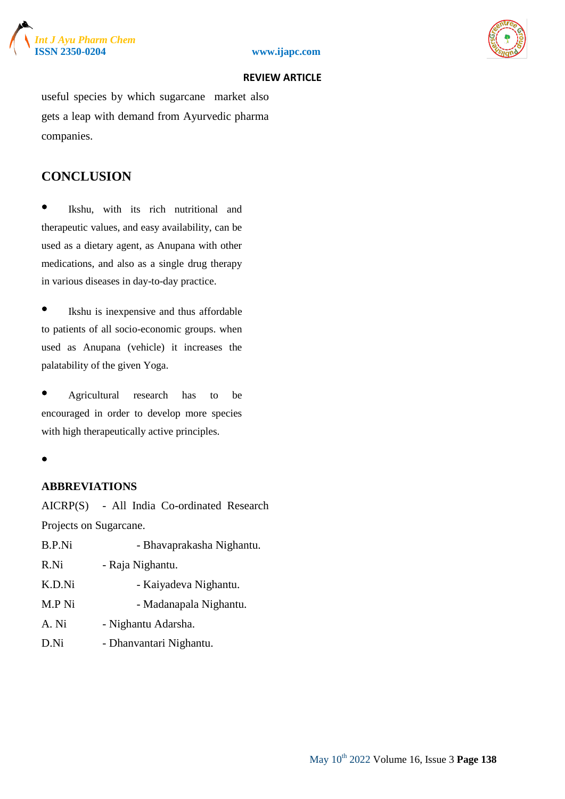





useful species by which sugarcane market also gets a leap with demand from Ayurvedic pharma companies.

# **CONCLUSION**

Ikshu, with its rich nutritional and therapeutic values, and easy availability, can be used as a dietary agent, as Anupana with other medications, and also as a single drug therapy in various diseases in day-to-day practice.

• Ikshu is inexpensive and thus affordable to patients of all socio-economic groups. when used as Anupana (vehicle) it increases the palatability of the given Yoga.

• Agricultural research has to be encouraged in order to develop more species with high therapeutically active principles.

•

#### **ABBREVIATIONS**

AICRP(S) - All India Co-ordinated Research Projects on Sugarcane.

| <b>B.P.Ni</b> | - Bhavaprakasha Nighantu. |
|---------------|---------------------------|
| R.Ni          | - Raja Nighantu.          |
| K.D.Ni        | - Kaiyadeva Nighantu.     |
| M.P Ni        | - Madanapala Nighantu.    |
| A. Ni         | - Nighantu Adarsha.       |
| D.Ni          | - Dhanvantari Nighantu.   |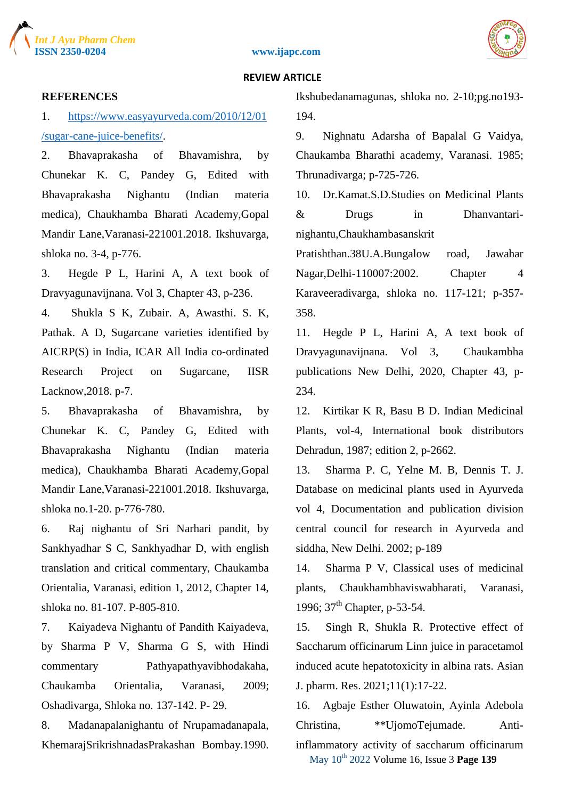





#### **REFERENCES**

1. [https://www.easyayurveda.com/2010/12/01](about:blank) [/sugar-cane-juice-benefits/.](about:blank)

2. Bhavaprakasha of Bhavamishra, by Chunekar K. C, Pandey G, Edited with Bhavaprakasha Nighantu (Indian materia medica), Chaukhamba Bharati Academy,Gopal Mandir Lane,Varanasi-221001.2018. Ikshuvarga, shloka no. 3-4, p-776.

3. Hegde P L, Harini A, A text book of Dravyagunavijnana. Vol 3, Chapter 43, p-236.

4. Shukla S K, Zubair. A, Awasthi. S. K, Pathak. A D, Sugarcane varieties identified by AICRP(S) in India, ICAR All India co-ordinated Research Project on Sugarcane, IISR Lacknow,2018. p-7.

5. Bhavaprakasha of Bhavamishra, by Chunekar K. C, Pandey G, Edited with Bhavaprakasha Nighantu (Indian materia medica), Chaukhamba Bharati Academy,Gopal Mandir Lane,Varanasi-221001.2018. Ikshuvarga, shloka no.1-20. p-776-780.

6. Raj nighantu of Sri Narhari pandit, by Sankhyadhar S C, Sankhyadhar D, with english translation and critical commentary, Chaukamba Orientalia, Varanasi, edition 1, 2012, Chapter 14, shloka no. 81-107. P-805-810.

7. Kaiyadeva Nighantu of Pandith Kaiyadeva, by Sharma P V, Sharma G S, with Hindi commentary Pathyapathyavibhodakaha, Chaukamba Orientalia, Varanasi, 2009; Oshadivarga, Shloka no. 137-142. P- 29.

8. Madanapalanighantu of Nrupamadanapala, KhemarajSrikrishnadasPrakashan Bombay.1990. Ikshubedanamagunas, shloka no. 2-10;pg.no193- 194.

9. Nighnatu Adarsha of Bapalal G Vaidya, Chaukamba Bharathi academy, Varanasi. 1985; Thrunadivarga; p-725-726.

10. Dr.Kamat.S.D.Studies on Medicinal Plants & Drugs in Dhanvantarinighantu,Chaukhambasanskrit

Pratishthan.38U.A.Bungalow road, Jawahar Nagar,Delhi-110007:2002. Chapter 4 Karaveeradivarga, shloka no. 117-121; p-357- 358.

11. Hegde P L, Harini A, A text book of Dravyagunavijnana. Vol 3, Chaukambha publications New Delhi, 2020, Chapter 43, p-234.

12. Kirtikar K R, Basu B D. Indian Medicinal Plants, vol-4, International book distributors Dehradun, 1987; edition 2, p-2662.

13. Sharma P. C, Yelne M. B, Dennis T. J. Database on medicinal plants used in Ayurveda vol 4, Documentation and publication division central council for research in Ayurveda and siddha, New Delhi. 2002; p-189

14. Sharma P V, Classical uses of medicinal plants, Chaukhambhaviswabharati, Varanasi, 1996;  $37<sup>th</sup>$  Chapter, p-53-54.

15. Singh R, Shukla R. Protective effect of Saccharum officinarum Linn juice in paracetamol induced acute hepatotoxicity in albina rats. Asian J. pharm. Res. 2021;11(1):17-22.

May 10th 2022 Volume 16, Issue 3 **Page 139** 16. Agbaje Esther Oluwatoin, Ayinla Adebola Christina, \*\*UjomoTejumade. Antiinflammatory activity of saccharum officinarum